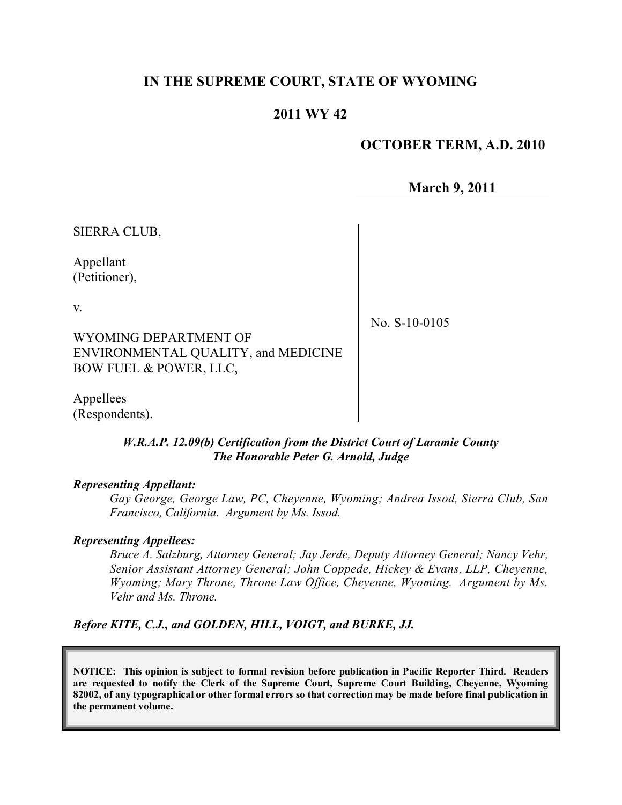## **IN THE SUPREME COURT, STATE OF WYOMING**

## **2011 WY 42**

#### **OCTOBER TERM, A.D. 2010**

**March 9, 2011**

SIERRA CLUB,

Appellant (Petitioner),

v.

No. S-10-0105

WYOMING DEPARTMENT OF ENVIRONMENTAL QUALITY, and MEDICINE BOW FUEL & POWER, LLC,

Appellees (Respondents).

#### *W.R.A.P. 12.09(b) Certification from the District Court of Laramie County The Honorable Peter G. Arnold, Judge*

#### *Representing Appellant:*

*Gay George, George Law, PC, Cheyenne, Wyoming; Andrea Issod, Sierra Club, San Francisco, California. Argument by Ms. Issod.*

#### *Representing Appellees:*

*Bruce A. Salzburg, Attorney General; Jay Jerde, Deputy Attorney General; Nancy Vehr, Senior Assistant Attorney General; John Coppede, Hickey & Evans, LLP, Cheyenne, Wyoming; Mary Throne, Throne Law Office, Cheyenne, Wyoming. Argument by Ms. Vehr and Ms. Throne.*

#### *Before KITE, C.J., and GOLDEN, HILL, VOIGT, and BURKE, JJ.*

**NOTICE: This opinion is subject to formal revision before publication in Pacific Reporter Third. Readers are requested to notify the Clerk of the Supreme Court, Supreme Court Building, Cheyenne, Wyoming** 82002, of any typographical or other formal errors so that correction may be made before final publication in **the permanent volume.**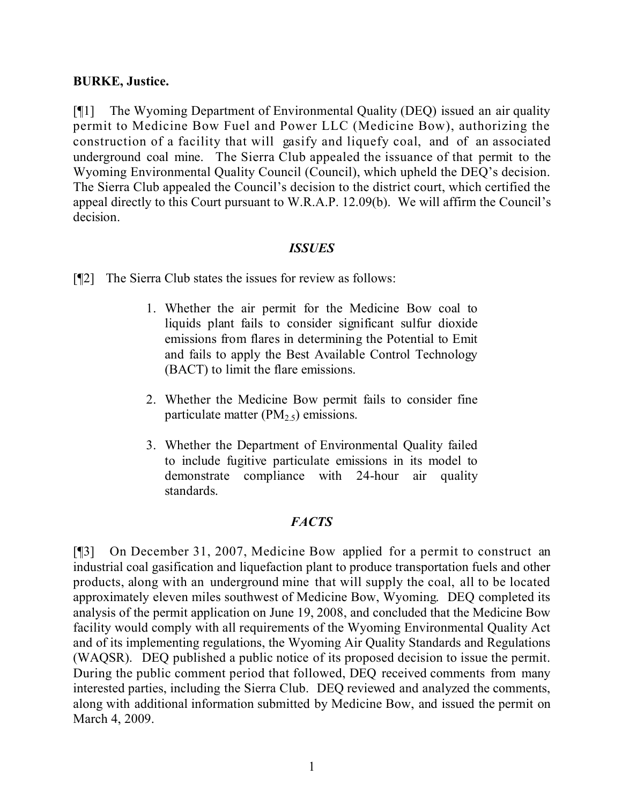#### **BURKE, Justice.**

[¶1] The Wyoming Department of Environmental Quality (DEQ) issued an air quality permit to Medicine Bow Fuel and Power LLC (Medicine Bow), authorizing the construction of a facility that will gasify and liquefy coal, and of an associated underground coal mine. The Sierra Club appealed the issuance of that permit to the Wyoming Environmental Quality Council (Council), which upheld the DEQ's decision. The Sierra Club appealed the Council's decision to the district court, which certified the appeal directly to this Court pursuant to W.R.A.P. 12.09(b). We will affirm the Council's decision.

#### *ISSUES*

[¶2] The Sierra Club states the issues for review as follows:

- 1. Whether the air permit for the Medicine Bow coal to liquids plant fails to consider significant sulfur dioxide emissions from flares in determining the Potential to Emit and fails to apply the Best Available Control Technology (BACT) to limit the flare emissions.
- 2. Whether the Medicine Bow permit fails to consider fine particulate matter ( $PM<sub>2.5</sub>$ ) emissions.
- 3. Whether the Department of Environmental Quality failed to include fugitive particulate emissions in its model to demonstrate compliance with 24-hour air quality standards.

## *FACTS*

[¶3] On December 31, 2007, Medicine Bow applied for a permit to construct an industrial coal gasification and liquefaction plant to produce transportation fuels and other products, along with an underground mine that will supply the coal, all to be located approximately eleven miles southwest of Medicine Bow, Wyoming. DEQ completed its analysis of the permit application on June 19, 2008, and concluded that the Medicine Bow facility would comply with all requirements of the Wyoming Environmental Quality Act and of its implementing regulations, the Wyoming Air Quality Standards and Regulations (WAQSR). DEQ published a public notice of its proposed decision to issue the permit. During the public comment period that followed, DEQ received comments from many interested parties, including the Sierra Club. DEQ reviewed and analyzed the comments, along with additional information submitted by Medicine Bow, and issued the permit on March 4, 2009.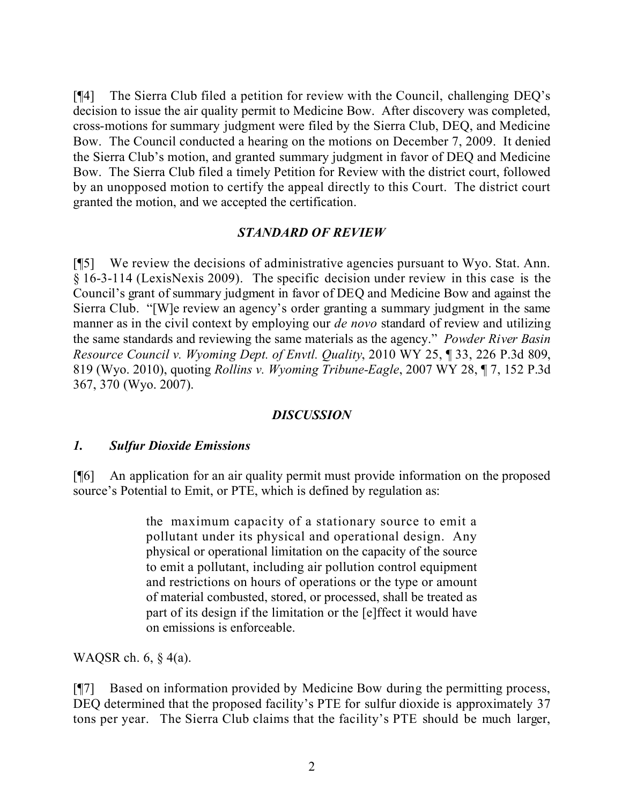[¶4] The Sierra Club filed a petition for review with the Council, challenging DEQ's decision to issue the air quality permit to Medicine Bow. After discovery was completed, cross-motions for summary judgment were filed by the Sierra Club, DEQ, and Medicine Bow. The Council conducted a hearing on the motions on December 7, 2009. It denied the Sierra Club's motion, and granted summary judgment in favor of DEQ and Medicine Bow. The Sierra Club filed a timely Petition for Review with the district court, followed by an unopposed motion to certify the appeal directly to this Court. The district court granted the motion, and we accepted the certification.

## *STANDARD OF REVIEW*

[¶5] We review the decisions of administrative agencies pursuant to Wyo. Stat. Ann. § 16-3-114 (LexisNexis 2009). The specific decision under review in this case is the Council's grant of summary judgment in favor of DEQ and Medicine Bow and against the Sierra Club. "[W]e review an agency's order granting a summary judgment in the same manner as in the civil context by employing our *de novo* standard of review and utilizing the same standards and reviewing the same materials as the agency." *Powder River Basin Resource Council v. Wyoming Dept. of Envtl. Quality*, 2010 WY 25, ¶ 33, 226 P.3d 809, 819 (Wyo. 2010), quoting *Rollins v. Wyoming Tribune-Eagle*, 2007 WY 28, ¶ 7, 152 P.3d 367, 370 (Wyo. 2007).

## *DISCUSSION*

#### *1. Sulfur Dioxide Emissions*

[¶6] An application for an air quality permit must provide information on the proposed source's Potential to Emit, or PTE, which is defined by regulation as:

> the maximum capacity of a stationary source to emit a pollutant under its physical and operational design. Any physical or operational limitation on the capacity of the source to emit a pollutant, including air pollution control equipment and restrictions on hours of operations or the type or amount of material combusted, stored, or processed, shall be treated as part of its design if the limitation or the [e]ffect it would have on emissions is enforceable.

WAQSR ch. 6, § 4(a).

[¶7] Based on information provided by Medicine Bow during the permitting process, DEQ determined that the proposed facility's PTE for sulfur dioxide is approximately 37 tons per year. The Sierra Club claims that the facility's PTE should be much larger,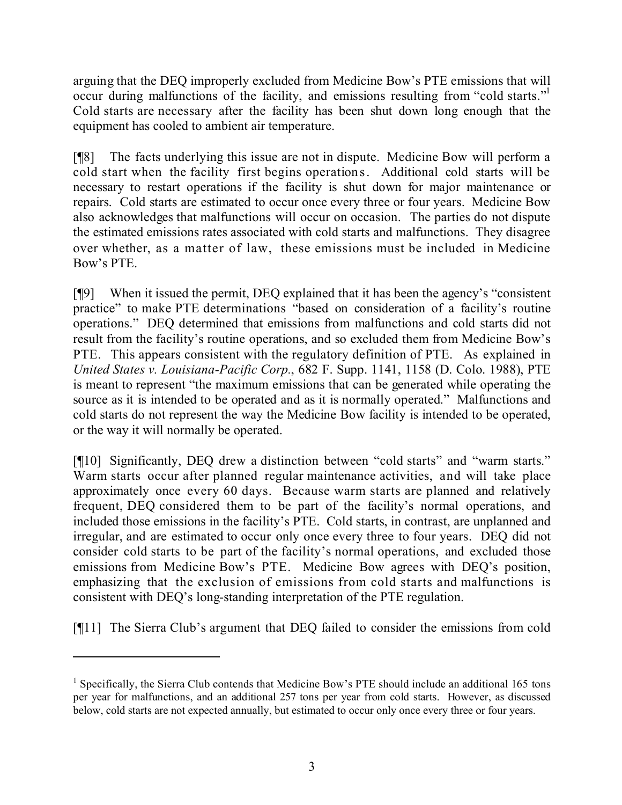arguing that the DEQ improperly excluded from Medicine Bow's PTE emissions that will occur during malfunctions of the facility, and emissions resulting from "cold starts." Cold starts are necessary after the facility has been shut down long enough that the equipment has cooled to ambient air temperature.

[¶8] The facts underlying this issue are not in dispute. Medicine Bow will perform a cold start when the facility first begins operations. Additional cold starts will be necessary to restart operations if the facility is shut down for major maintenance or repairs. Cold starts are estimated to occur once every three or four years. Medicine Bow also acknowledges that malfunctions will occur on occasion. The parties do not dispute the estimated emissions rates associated with cold starts and malfunctions. They disagree over whether, as a matter of law, these emissions must be included in Medicine Bow's PTE.

[¶9] When it issued the permit, DEQ explained that it has been the agency's "consistent practice" to make PTE determinations "based on consideration of a facility's routine operations." DEQ determined that emissions from malfunctions and cold starts did not result from the facility's routine operations, and so excluded them from Medicine Bow's PTE. This appears consistent with the regulatory definition of PTE. As explained in *United States v. Louisiana-Pacific Corp.*, 682 F. Supp. 1141, 1158 (D. Colo. 1988), PTE is meant to represent "the maximum emissions that can be generated while operating the source as it is intended to be operated and as it is normally operated." Malfunctions and cold starts do not represent the way the Medicine Bow facility is intended to be operated, or the way it will normally be operated.

[¶10] Significantly, DEQ drew a distinction between "cold starts" and "warm starts." Warm starts occur after planned regular maintenance activities, and will take place approximately once every 60 days. Because warm starts are planned and relatively frequent, DEQ considered them to be part of the facility's normal operations, and included those emissions in the facility's PTE. Cold starts, in contrast, are unplanned and irregular, and are estimated to occur only once every three to four years. DEQ did not consider cold starts to be part of the facility's normal operations, and excluded those emissions from Medicine Bow's PTE. Medicine Bow agrees with DEQ's position, emphasizing that the exclusion of emissions from cold starts and malfunctions is consistent with DEQ's long-standing interpretation of the PTE regulation.

[¶11] The Sierra Club's argument that DEQ failed to consider the emissions from cold

<sup>&</sup>lt;sup>1</sup> Specifically, the Sierra Club contends that Medicine Bow's PTE should include an additional 165 tons per year for malfunctions, and an additional 257 tons per year from cold starts. However, as discussed below, cold starts are not expected annually, but estimated to occur only once every three or four years.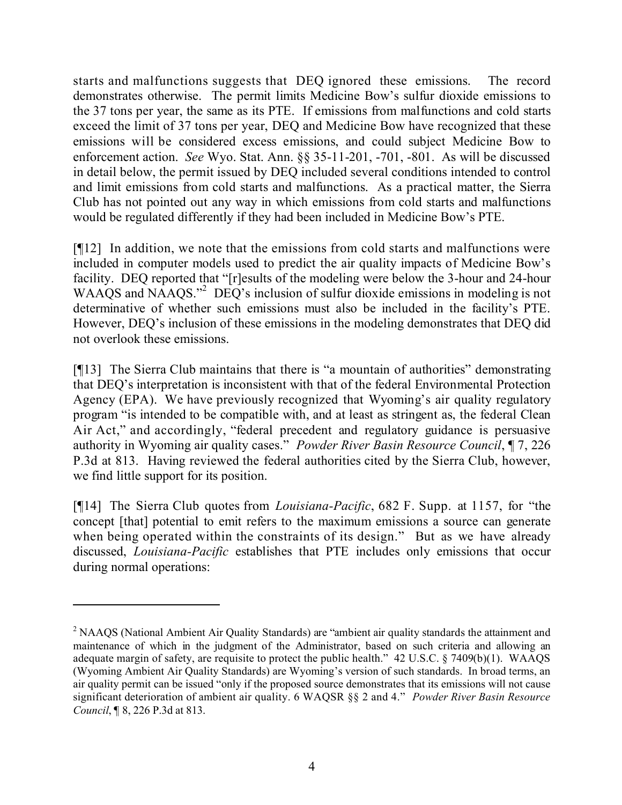starts and malfunctions suggests that DEQ ignored these emissions. The record demonstrates otherwise. The permit limits Medicine Bow's sulfur dioxide emissions to the 37 tons per year, the same as its PTE. If emissions from malfunctions and cold starts exceed the limit of 37 tons per year, DEQ and Medicine Bow have recognized that these emissions will be considered excess emissions, and could subject Medicine Bow to enforcement action. *See* Wyo. Stat. Ann. §§ 35-11-201, -701, -801. As will be discussed in detail below, the permit issued by DEQ included several conditions intended to control and limit emissions from cold starts and malfunctions. As a practical matter, the Sierra Club has not pointed out any way in which emissions from cold starts and malfunctions would be regulated differently if they had been included in Medicine Bow's PTE.

[¶12] In addition, we note that the emissions from cold starts and malfunctions were included in computer models used to predict the air quality impacts of Medicine Bow's facility. DEQ reported that "[r]esults of the modeling were below the 3-hour and 24-hour WAAQS and NAAQS."<sup>2</sup> DEQ's inclusion of sulfur dioxide emissions in modeling is not determinative of whether such emissions must also be included in the facility's PTE. However, DEQ's inclusion of these emissions in the modeling demonstrates that DEQ did not overlook these emissions.

[¶13] The Sierra Club maintains that there is "a mountain of authorities" demonstrating that DEQ's interpretation is inconsistent with that of the federal Environmental Protection Agency (EPA). We have previously recognized that Wyoming's air quality regulatory program "is intended to be compatible with, and at least as stringent as, the federal Clean Air Act," and accordingly, "federal precedent and regulatory guidance is persuasive authority in Wyoming air quality cases." *Powder River Basin Resource Council*, ¶ 7, 226 P.3d at 813. Having reviewed the federal authorities cited by the Sierra Club, however, we find little support for its position.

[¶14] The Sierra Club quotes from *Louisiana-Pacific*, 682 F. Supp. at 1157, for "the concept [that] potential to emit refers to the maximum emissions a source can generate when being operated within the constraints of its design." But as we have already discussed, *Louisiana-Pacific* establishes that PTE includes only emissions that occur during normal operations:

<sup>&</sup>lt;sup>2</sup> NAAQS (National Ambient Air Quality Standards) are "ambient air quality standards the attainment and maintenance of which in the judgment of the Administrator, based on such criteria and allowing an adequate margin of safety, are requisite to protect the public health." 42 U.S.C. § 7409(b)(1). WAAQS (Wyoming Ambient Air Quality Standards) are Wyoming's version of such standards. In broad terms, an air quality permit can be issued "only if the proposed source demonstrates that its emissions will not cause significant deterioration of ambient air quality. 6 WAQSR §§ 2 and 4." *Powder River Basin Resource Council*, ¶ 8, 226 P.3d at 813.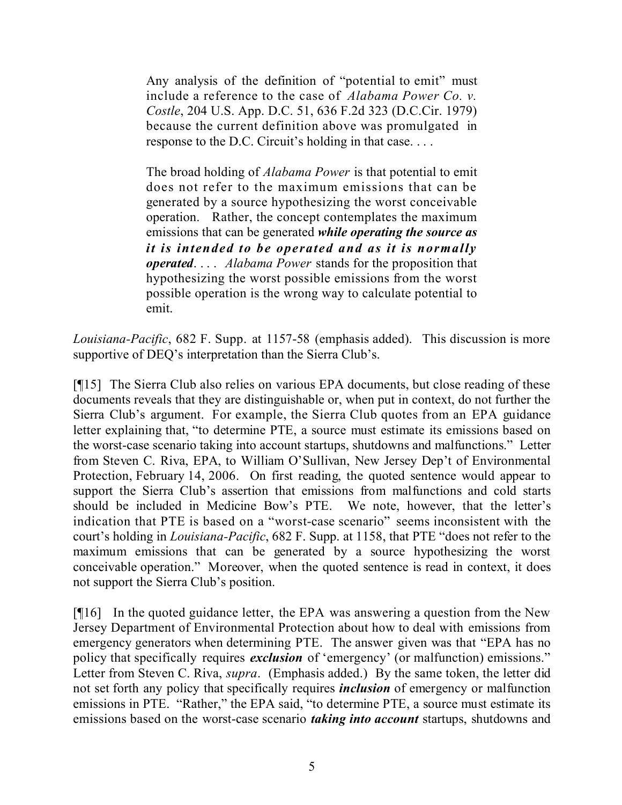Any analysis of the definition of "potential to emit" must include a reference to the case of *Alabama Power Co. v. Costle*, 204 U.S. App. D.C. 51, 636 F.2d 323 (D.C.Cir. 1979) because the current definition above was promulgated in response to the D.C. Circuit's holding in that case. . . .

The broad holding of *Alabama Power* is that potential to emit does not refer to the maximum emissions that can be generated by a source hypothesizing the worst conceivable operation. Rather, the concept contemplates the maximum emissions that can be generated *while operating the source as it is intended to be operated and as it is normally operated*. . . . *Alabama Power* stands for the proposition that hypothesizing the worst possible emissions from the worst possible operation is the wrong way to calculate potential to emit.

*Louisiana-Pacific*, 682 F. Supp. at 1157-58 (emphasis added). This discussion is more supportive of DEO's interpretation than the Sierra Club's.

[¶15] The Sierra Club also relies on various EPA documents, but close reading of these documents reveals that they are distinguishable or, when put in context, do not further the Sierra Club's argument. For example, the Sierra Club quotes from an EPA guidance letter explaining that, "to determine PTE, a source must estimate its emissions based on the worst-case scenario taking into account startups, shutdowns and malfunctions." Letter from Steven C. Riva, EPA, to William O'Sullivan, New Jersey Dep't of Environmental Protection, February 14, 2006. On first reading, the quoted sentence would appear to support the Sierra Club's assertion that emissions from malfunctions and cold starts should be included in Medicine Bow's PTE. We note, however, that the letter's indication that PTE is based on a "worst-case scenario" seems inconsistent with the court's holding in *Louisiana-Pacific*, 682 F. Supp. at 1158, that PTE "does not refer to the maximum emissions that can be generated by a source hypothesizing the worst conceivable operation." Moreover, when the quoted sentence is read in context, it does not support the Sierra Club's position.

[¶16] In the quoted guidance letter, the EPA was answering a question from the New Jersey Department of Environmental Protection about how to deal with emissions from emergency generators when determining PTE. The answer given was that "EPA has no policy that specifically requires *exclusion* of 'emergency' (or malfunction) emissions." Letter from Steven C. Riva, *supra*. (Emphasis added.) By the same token, the letter did not set forth any policy that specifically requires *inclusion* of emergency or malfunction emissions in PTE. "Rather," the EPA said, "to determine PTE, a source must estimate its emissions based on the worst-case scenario *taking into account* startups, shutdowns and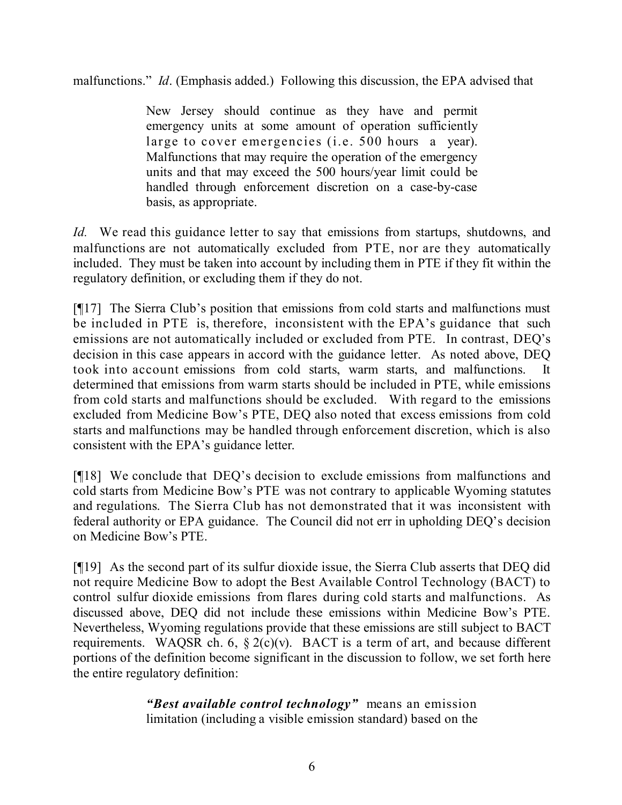malfunctions." *Id*. (Emphasis added.) Following this discussion, the EPA advised that

New Jersey should continue as they have and permit emergency units at some amount of operation sufficiently large to cover emergencies (i.e. 500 hours a year). Malfunctions that may require the operation of the emergency units and that may exceed the 500 hours/year limit could be handled through enforcement discretion on a case-by-case basis, as appropriate.

*Id.* We read this guidance letter to say that emissions from startups, shutdowns, and malfunctions are not automatically excluded from PTE, nor are they automatically included. They must be taken into account by including them in PTE if they fit within the regulatory definition, or excluding them if they do not.

[¶17] The Sierra Club's position that emissions from cold starts and malfunctions must be included in PTE is, therefore, inconsistent with the EPA's guidance that such emissions are not automatically included or excluded from PTE. In contrast, DEQ's decision in this case appears in accord with the guidance letter. As noted above, DEQ took into account emissions from cold starts, warm starts, and malfunctions. It determined that emissions from warm starts should be included in PTE, while emissions from cold starts and malfunctions should be excluded. With regard to the emissions excluded from Medicine Bow's PTE, DEQ also noted that excess emissions from cold starts and malfunctions may be handled through enforcement discretion, which is also consistent with the EPA's guidance letter.

[¶18] We conclude that DEQ's decision to exclude emissions from malfunctions and cold starts from Medicine Bow's PTE was not contrary to applicable Wyoming statutes and regulations. The Sierra Club has not demonstrated that it was inconsistent with federal authority or EPA guidance. The Council did not err in upholding DEQ's decision on Medicine Bow's PTE.

[¶19] As the second part of its sulfur dioxide issue, the Sierra Club asserts that DEQ did not require Medicine Bow to adopt the Best Available Control Technology (BACT) to control sulfur dioxide emissions from flares during cold starts and malfunctions. As discussed above, DEQ did not include these emissions within Medicine Bow's PTE. Nevertheless, Wyoming regulations provide that these emissions are still subject to BACT requirements. WAQSR ch. 6,  $\S 2(c)(v)$ . BACT is a term of art, and because different portions of the definition become significant in the discussion to follow, we set forth here the entire regulatory definition:

> *"Best available control technology"* means an emission limitation (including a visible emission standard) based on the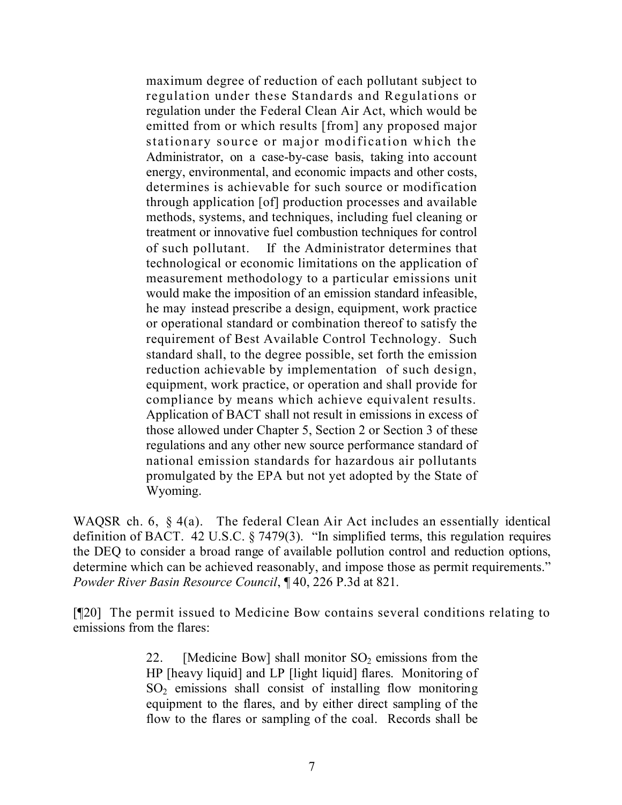maximum degree of reduction of each pollutant subject to regulation under these Standards and Regulations or regulation under the Federal Clean Air Act, which would be emitted from or which results [from] any proposed major stationary source or major modification which the Administrator, on a case-by-case basis, taking into account energy, environmental, and economic impacts and other costs, determines is achievable for such source or modification through application [of] production processes and available methods, systems, and techniques, including fuel cleaning or treatment or innovative fuel combustion techniques for control of such pollutant. If the Administrator determines that technological or economic limitations on the application of measurement methodology to a particular emissions unit would make the imposition of an emission standard infeasible, he may instead prescribe a design, equipment, work practice or operational standard or combination thereof to satisfy the requirement of Best Available Control Technology. Such standard shall, to the degree possible, set forth the emission reduction achievable by implementation of such design, equipment, work practice, or operation and shall provide for compliance by means which achieve equivalent results. Application of BACT shall not result in emissions in excess of those allowed under Chapter 5, Section 2 or Section 3 of these regulations and any other new source performance standard of national emission standards for hazardous air pollutants promulgated by the EPA but not yet adopted by the State of Wyoming.

WAQSR ch. 6, § 4(a). The federal Clean Air Act includes an essentially identical definition of BACT. 42 U.S.C. § 7479(3). "In simplified terms, this regulation requires the DEQ to consider a broad range of available pollution control and reduction options, determine which can be achieved reasonably, and impose those as permit requirements." *Powder River Basin Resource Council*, ¶ 40, 226 P.3d at 821.

[¶20] The permit issued to Medicine Bow contains several conditions relating to emissions from the flares:

> 22. [Medicine Bow] shall monitor  $SO_2$  emissions from the HP [heavy liquid] and LP [light liquid] flares. Monitoring of  $SO<sub>2</sub>$  emissions shall consist of installing flow monitoring equipment to the flares, and by either direct sampling of the flow to the flares or sampling of the coal. Records shall be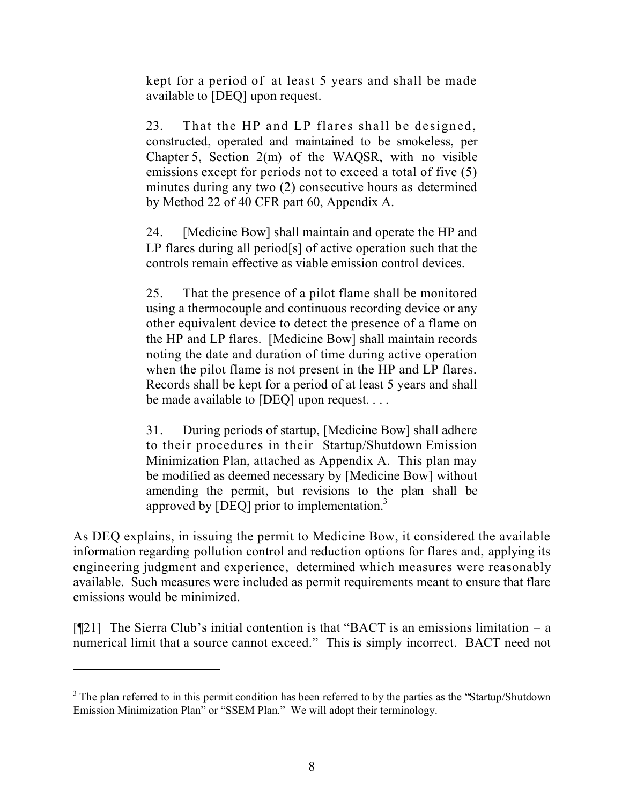kept for a period of at least 5 years and shall be made available to [DEQ] upon request.

23. That the HP and LP flares shall be designed, constructed, operated and maintained to be smokeless, per Chapter 5, Section 2(m) of the WAQSR, with no visible emissions except for periods not to exceed a total of five (5) minutes during any two (2) consecutive hours as determined by Method 22 of 40 CFR part 60, Appendix A.

24. [Medicine Bow] shall maintain and operate the HP and LP flares during all period[s] of active operation such that the controls remain effective as viable emission control devices.

25. That the presence of a pilot flame shall be monitored using a thermocouple and continuous recording device or any other equivalent device to detect the presence of a flame on the HP and LP flares. [Medicine Bow] shall maintain records noting the date and duration of time during active operation when the pilot flame is not present in the HP and LP flares. Records shall be kept for a period of at least 5 years and shall be made available to [DEQ] upon request. . . .

31. During periods of startup, [Medicine Bow] shall adhere to their procedures in their Startup/Shutdown Emission Minimization Plan, attached as Appendix A. This plan may be modified as deemed necessary by [Medicine Bow] without amending the permit, but revisions to the plan shall be approved by  $[DEQ]$  prior to implementation.<sup>3</sup>

As DEQ explains, in issuing the permit to Medicine Bow, it considered the available information regarding pollution control and reduction options for flares and, applying its engineering judgment and experience, determined which measures were reasonably available. Such measures were included as permit requirements meant to ensure that flare emissions would be minimized.

 $[$ [[21] The Sierra Club's initial contention is that "BACT is an emissions limitation – a numerical limit that a source cannot exceed." This is simply incorrect. BACT need not

<sup>&</sup>lt;sup>3</sup> The plan referred to in this permit condition has been referred to by the parties as the "Startup/Shutdown" Emission Minimization Plan" or "SSEM Plan." We will adopt their terminology.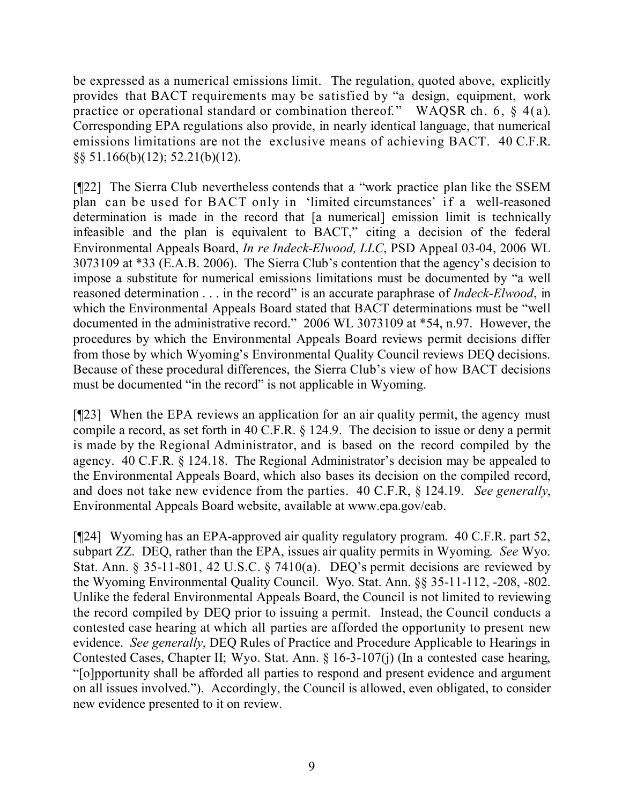be expressed as a numerical emissions limit. The regulation, quoted above, explicitly provides that BACT requirements may be satisfied by "a design, equipment, work practice or operational standard or combination thereof." WAQSR ch. 6, § 4(a). Corresponding EPA regulations also provide, in nearly identical language, that numerical emissions limitations are not the exclusive means of achieving BACT. 40 C.F.R. §§ 51.166(b)(12); 52.21(b)(12).

[¶22] The Sierra Club nevertheless contends that a "work practice plan like the SSEM plan can be used for BACT only in 'limited circumstances' if a well-reasoned determination is made in the record that [a numerical] emission limit is technically infeasible and the plan is equivalent to BACT," citing a decision of the federal Environmental Appeals Board, *In re Indeck-Elwood, LLC*, PSD Appeal 03-04, 2006 WL 3073109 at \*33 (E.A.B. 2006). The Sierra Club's contention that the agency's decision to impose a substitute for numerical emissions limitations must be documented by "a well reasoned determination . . . in the record" is an accurate paraphrase of *Indeck-Elwood*, in which the Environmental Appeals Board stated that BACT determinations must be "well documented in the administrative record." 2006 WL 3073109 at \*54, n.97. However, the procedures by which the Environmental Appeals Board reviews permit decisions differ from those by which Wyoming's Environmental Quality Council reviews DEQ decisions. Because of these procedural differences, the Sierra Club's view of how BACT decisions must be documented "in the record" is not applicable in Wyoming.

[¶23] When the EPA reviews an application for an air quality permit, the agency must compile a record, as set forth in 40 C.F.R. § 124.9. The decision to issue or deny a permit is made by the Regional Administrator, and is based on the record compiled by the agency. 40 C.F.R. § 124.18. The Regional Administrator's decision may be appealed to the Environmental Appeals Board, which also bases its decision on the compiled record, and does not take new evidence from the parties. 40 C.F.R, § 124.19. *See generally*, Environmental Appeals Board website, available at www.epa.gov/eab.

[¶24] Wyoming has an EPA-approved air quality regulatory program. 40 C.F.R. part 52, subpart ZZ. DEQ, rather than the EPA, issues air quality permits in Wyoming. *See* Wyo. Stat. Ann. § 35-11-801, 42 U.S.C. § 7410(a). DEQ's permit decisions are reviewed by the Wyoming Environmental Quality Council. Wyo. Stat. Ann. §§ 35-11-112, -208, -802. Unlike the federal Environmental Appeals Board, the Council is not limited to reviewing the record compiled by DEQ prior to issuing a permit. Instead, the Council conducts a contested case hearing at which all parties are afforded the opportunity to present new evidence. *See generally*, DEQ Rules of Practice and Procedure Applicable to Hearings in Contested Cases, Chapter II; Wyo. Stat. Ann. § 16-3-107(j) (In a contested case hearing, "[o]pportunity shall be afforded all parties to respond and present evidence and argument on all issues involved."). Accordingly, the Council is allowed, even obligated, to consider new evidence presented to it on review.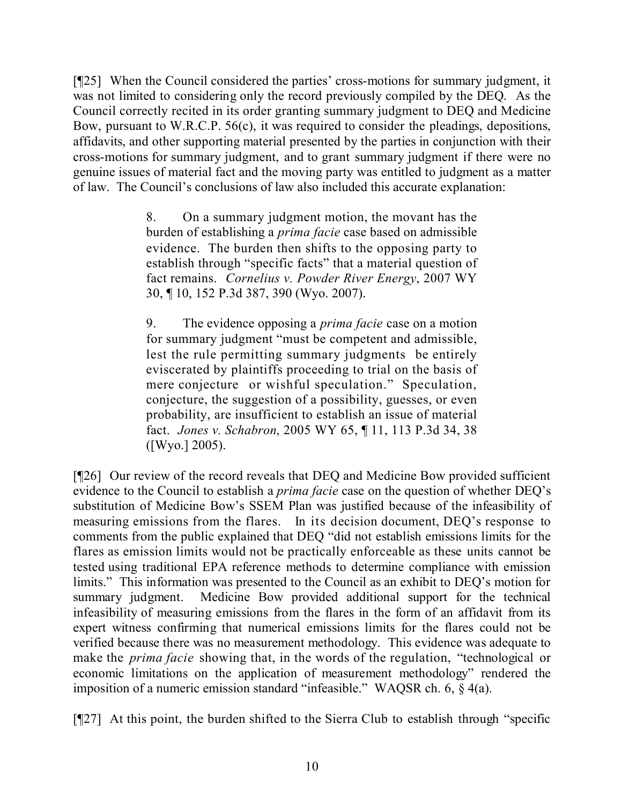[¶25] When the Council considered the parties' cross-motions for summary judgment, it was not limited to considering only the record previously compiled by the DEQ. As the Council correctly recited in its order granting summary judgment to DEQ and Medicine Bow, pursuant to W.R.C.P. 56(c), it was required to consider the pleadings, depositions, affidavits, and other supporting material presented by the parties in conjunction with their cross-motions for summary judgment, and to grant summary judgment if there were no genuine issues of material fact and the moving party was entitled to judgment as a matter of law. The Council's conclusions of law also included this accurate explanation:

> 8. On a summary judgment motion, the movant has the burden of establishing a *prima facie* case based on admissible evidence. The burden then shifts to the opposing party to establish through "specific facts" that a material question of fact remains. *Cornelius v. Powder River Energy*, 2007 WY 30, ¶ 10, 152 P.3d 387, 390 (Wyo. 2007).

> 9. The evidence opposing a *prima facie* case on a motion for summary judgment "must be competent and admissible, lest the rule permitting summary judgments be entirely eviscerated by plaintiffs proceeding to trial on the basis of mere conjecture or wishful speculation." Speculation, conjecture, the suggestion of a possibility, guesses, or even probability, are insufficient to establish an issue of material fact. *Jones v. Schabron*, 2005 WY 65, ¶ 11, 113 P.3d 34, 38 ([Wyo.] 2005).

[¶26] Our review of the record reveals that DEQ and Medicine Bow provided sufficient evidence to the Council to establish a *prima facie* case on the question of whether DEQ's substitution of Medicine Bow's SSEM Plan was justified because of the infeasibility of measuring emissions from the flares. In its decision document, DEQ's response to comments from the public explained that DEQ "did not establish emissions limits for the flares as emission limits would not be practically enforceable as these units cannot be tested using traditional EPA reference methods to determine compliance with emission limits." This information was presented to the Council as an exhibit to DEQ's motion for summary judgment. Medicine Bow provided additional support for the technical infeasibility of measuring emissions from the flares in the form of an affidavit from its expert witness confirming that numerical emissions limits for the flares could not be verified because there was no measurement methodology. This evidence was adequate to make the *prima facie* showing that, in the words of the regulation, "technological or economic limitations on the application of measurement methodology" rendered the imposition of a numeric emission standard "infeasible." WAQSR ch. 6, § 4(a).

[¶27] At this point, the burden shifted to the Sierra Club to establish through "specific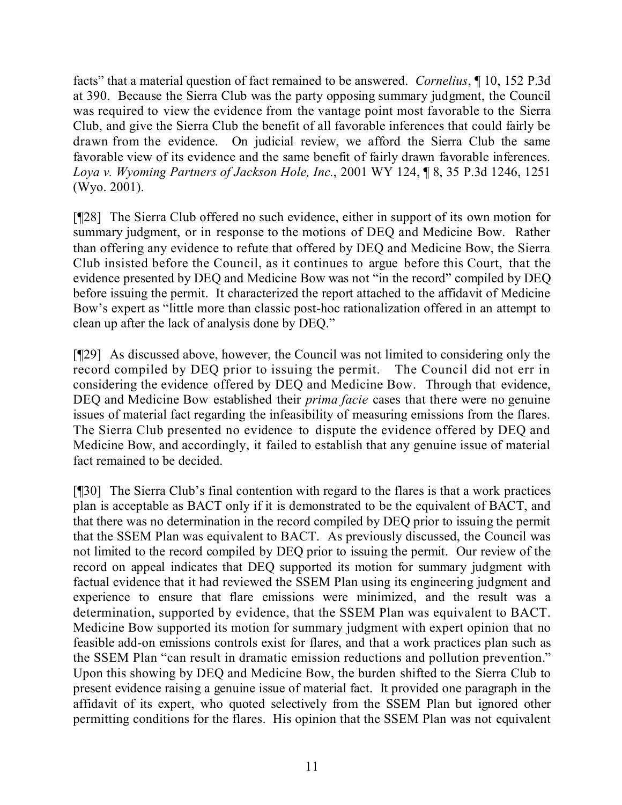facts" that a material question of fact remained to be answered. *Cornelius*, ¶ 10, 152 P.3d at 390. Because the Sierra Club was the party opposing summary judgment, the Council was required to view the evidence from the vantage point most favorable to the Sierra Club, and give the Sierra Club the benefit of all favorable inferences that could fairly be drawn from the evidence. On judicial review, we afford the Sierra Club the same favorable view of its evidence and the same benefit of fairly drawn favorable inferences. *Loya v. Wyoming Partners of Jackson Hole, Inc.*, 2001 WY 124, ¶ 8, 35 P.3d 1246, 1251 (Wyo. 2001).

[¶28] The Sierra Club offered no such evidence, either in support of its own motion for summary judgment, or in response to the motions of DEQ and Medicine Bow. Rather than offering any evidence to refute that offered by DEQ and Medicine Bow, the Sierra Club insisted before the Council, as it continues to argue before this Court, that the evidence presented by DEQ and Medicine Bow was not "in the record" compiled by DEQ before issuing the permit. It characterized the report attached to the affidavit of Medicine Bow's expert as "little more than classic post-hoc rationalization offered in an attempt to clean up after the lack of analysis done by DEQ."

[¶29] As discussed above, however, the Council was not limited to considering only the record compiled by DEQ prior to issuing the permit. The Council did not err in considering the evidence offered by DEQ and Medicine Bow. Through that evidence, DEQ and Medicine Bow established their *prima facie* cases that there were no genuine issues of material fact regarding the infeasibility of measuring emissions from the flares. The Sierra Club presented no evidence to dispute the evidence offered by DEQ and Medicine Bow, and accordingly, it failed to establish that any genuine issue of material fact remained to be decided.

[¶30] The Sierra Club's final contention with regard to the flares is that a work practices plan is acceptable as BACT only if it is demonstrated to be the equivalent of BACT, and that there was no determination in the record compiled by DEQ prior to issuing the permit that the SSEM Plan was equivalent to BACT. As previously discussed, the Council was not limited to the record compiled by DEQ prior to issuing the permit. Our review of the record on appeal indicates that DEQ supported its motion for summary judgment with factual evidence that it had reviewed the SSEM Plan using its engineering judgment and experience to ensure that flare emissions were minimized, and the result was a determination, supported by evidence, that the SSEM Plan was equivalent to BACT. Medicine Bow supported its motion for summary judgment with expert opinion that no feasible add-on emissions controls exist for flares, and that a work practices plan such as the SSEM Plan "can result in dramatic emission reductions and pollution prevention." Upon this showing by DEQ and Medicine Bow, the burden shifted to the Sierra Club to present evidence raising a genuine issue of material fact. It provided one paragraph in the affidavit of its expert, who quoted selectively from the SSEM Plan but ignored other permitting conditions for the flares. His opinion that the SSEM Plan was not equivalent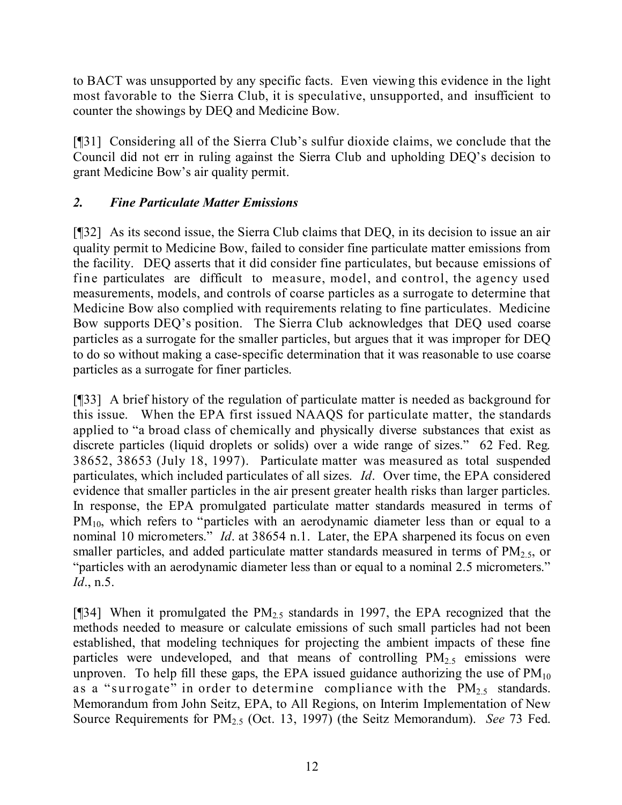to BACT was unsupported by any specific facts. Even viewing this evidence in the light most favorable to the Sierra Club, it is speculative, unsupported, and insufficient to counter the showings by DEQ and Medicine Bow.

[¶31] Considering all of the Sierra Club's sulfur dioxide claims, we conclude that the Council did not err in ruling against the Sierra Club and upholding DEQ's decision to grant Medicine Bow's air quality permit.

# *2. Fine Particulate Matter Emissions*

[¶32] As its second issue, the Sierra Club claims that DEQ, in its decision to issue an air quality permit to Medicine Bow, failed to consider fine particulate matter emissions from the facility. DEQ asserts that it did consider fine particulates, but because emissions of fine particulates are difficult to measure, model, and control, the agency used measurements, models, and controls of coarse particles as a surrogate to determine that Medicine Bow also complied with requirements relating to fine particulates. Medicine Bow supports DEQ's position. The Sierra Club acknowledges that DEQ used coarse particles as a surrogate for the smaller particles, but argues that it was improper for DEQ to do so without making a case-specific determination that it was reasonable to use coarse particles as a surrogate for finer particles.

[¶33] A brief history of the regulation of particulate matter is needed as background for this issue. When the EPA first issued NAAQS for particulate matter, the standards applied to "a broad class of chemically and physically diverse substances that exist as discrete particles (liquid droplets or solids) over a wide range of sizes." 62 Fed. Reg. 38652, 38653 (July 18, 1997). Particulate matter was measured as total suspended particulates, which included particulates of all sizes. *Id*. Over time, the EPA considered evidence that smaller particles in the air present greater health risks than larger particles. In response, the EPA promulgated particulate matter standards measured in terms of PM<sub>10</sub>, which refers to "particles with an aerodynamic diameter less than or equal to a nominal 10 micrometers." *Id*. at 38654 n.1. Later, the EPA sharpened its focus on even smaller particles, and added particulate matter standards measured in terms of  $PM_{2.5}$ , or "particles with an aerodynamic diameter less than or equal to a nominal 2.5 micrometers." *Id*., n.5.

[ $[$ ]34] When it promulgated the  $PM_{2.5}$  standards in 1997, the EPA recognized that the methods needed to measure or calculate emissions of such small particles had not been established, that modeling techniques for projecting the ambient impacts of these fine particles were undeveloped, and that means of controlling  $PM_{2.5}$  emissions were unproven. To help fill these gaps, the EPA issued guidance authorizing the use of  $PM_{10}$ as a "surrogate" in order to determine compliance with the  $PM_{2.5}$  standards. Memorandum from John Seitz, EPA, to All Regions, on Interim Implementation of New Source Requirements for PM2.5 (Oct. 13, 1997) (the Seitz Memorandum). *See* 73 Fed.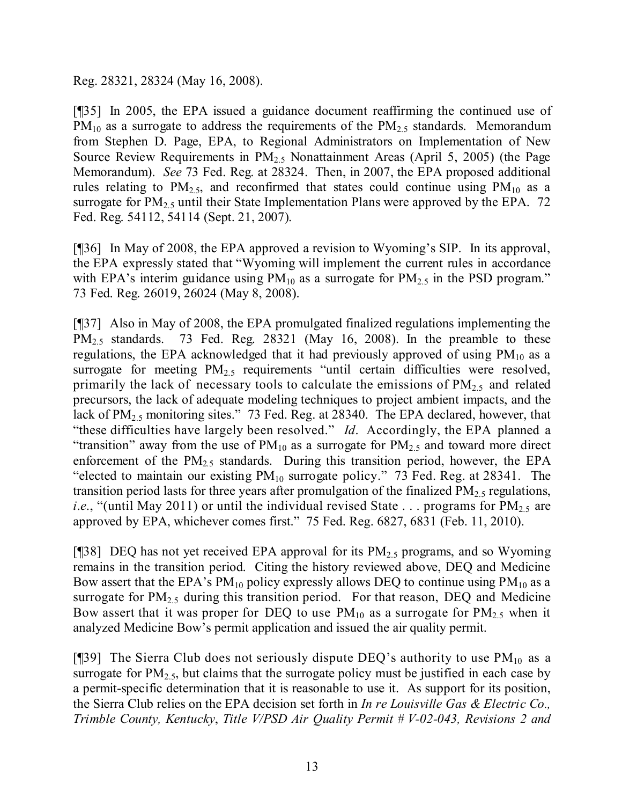Reg. 28321, 28324 (May 16, 2008).

[¶35] In 2005, the EPA issued a guidance document reaffirming the continued use of  $PM_{10}$  as a surrogate to address the requirements of the  $PM_{2.5}$  standards. Memorandum from Stephen D. Page, EPA, to Regional Administrators on Implementation of New Source Review Requirements in  $PM<sub>2.5</sub>$  Nonattainment Areas (April 5, 2005) (the Page Memorandum). *See* 73 Fed. Reg. at 28324. Then, in 2007, the EPA proposed additional rules relating to  $PM_{2.5}$ , and reconfirmed that states could continue using  $PM_{10}$  as a surrogate for  $PM_{2.5}$  until their State Implementation Plans were approved by the EPA. 72 Fed. Reg. 54112, 54114 (Sept. 21, 2007).

[¶36] In May of 2008, the EPA approved a revision to Wyoming's SIP. In its approval, the EPA expressly stated that "Wyoming will implement the current rules in accordance with EPA's interim guidance using  $PM_{10}$  as a surrogate for  $PM_{2.5}$  in the PSD program." 73 Fed. Reg. 26019, 26024 (May 8, 2008).

[¶37] Also in May of 2008, the EPA promulgated finalized regulations implementing the PM<sub>2.5</sub> standards. 73 Fed. Reg. 28321 (May 16, 2008). In the preamble to these regulations, the EPA acknowledged that it had previously approved of using  $PM_{10}$  as a surrogate for meeting  $PM<sub>2.5</sub>$  requirements "until certain difficulties were resolved, primarily the lack of necessary tools to calculate the emissions of  $PM_{2.5}$  and related precursors, the lack of adequate modeling techniques to project ambient impacts, and the lack of  $PM_{2.5}$  monitoring sites." 73 Fed. Reg. at 28340. The EPA declared, however, that "these difficulties have largely been resolved." *Id*. Accordingly, the EPA planned a "transition" away from the use of  $PM_{10}$  as a surrogate for  $PM_{2.5}$  and toward more direct enforcement of the  $PM_{2.5}$  standards. During this transition period, however, the EPA "elected to maintain our existing  $PM_{10}$  surrogate policy." 73 Fed. Reg. at 28341. The transition period lasts for three years after promulgation of the finalized  $PM_{2.5}$  regulations, *i.e.*, "(until May 2011) or until the individual revised State  $\ldots$  programs for PM<sub>2.5</sub> are approved by EPA, whichever comes first." 75 Fed. Reg. 6827, 6831 (Feb. 11, 2010).

[¶38] DEQ has not yet received EPA approval for its  $PM_{2.5}$  programs, and so Wyoming remains in the transition period. Citing the history reviewed above, DEQ and Medicine Bow assert that the EPA's  $PM_{10}$  policy expressly allows DEQ to continue using  $PM_{10}$  as a surrogate for PM<sub>2.5</sub> during this transition period. For that reason, DEQ and Medicine Bow assert that it was proper for DEQ to use  $PM_{10}$  as a surrogate for  $PM_{2.5}$  when it analyzed Medicine Bow's permit application and issued the air quality permit.

[¶39] The Sierra Club does not seriously dispute DEQ's authority to use  $PM_{10}$  as a surrogate for  $PM_{2.5}$ , but claims that the surrogate policy must be justified in each case by a permit-specific determination that it is reasonable to use it. As support for its position, the Sierra Club relies on the EPA decision set forth in *In re Louisville Gas & Electric Co., Trimble County, Kentucky*, *Title V/PSD Air Quality Permit # V-02-043, Revisions 2 and*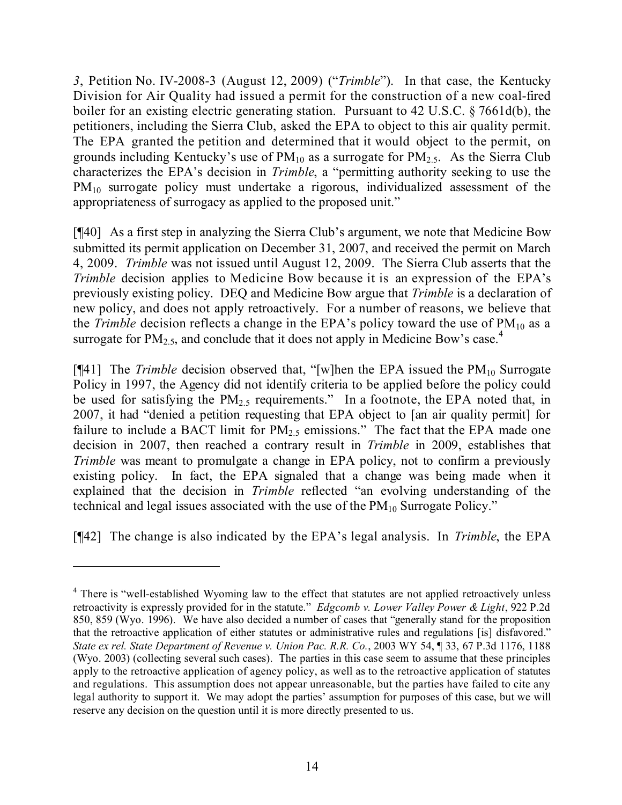*3*, Petition No. IV-2008-3 (August 12, 2009) ("*Trimble*"). In that case, the Kentucky Division for Air Quality had issued a permit for the construction of a new coal-fired boiler for an existing electric generating station. Pursuant to 42 U.S.C. § 7661d(b), the petitioners, including the Sierra Club, asked the EPA to object to this air quality permit. The EPA granted the petition and determined that it would object to the permit, on grounds including Kentucky's use of  $PM_{10}$  as a surrogate for  $PM_{2.5}$ . As the Sierra Club characterizes the EPA's decision in *Trimble*, a "permitting authority seeking to use the PM<sub>10</sub> surrogate policy must undertake a rigorous, individualized assessment of the appropriateness of surrogacy as applied to the proposed unit."

[¶40] As a first step in analyzing the Sierra Club's argument, we note that Medicine Bow submitted its permit application on December 31, 2007, and received the permit on March 4, 2009. *Trimble* was not issued until August 12, 2009. The Sierra Club asserts that the *Trimble* decision applies to Medicine Bow because it is an expression of the EPA's previously existing policy. DEQ and Medicine Bow argue that *Trimble* is a declaration of new policy, and does not apply retroactively. For a number of reasons, we believe that the *Trimble* decision reflects a change in the EPA's policy toward the use of PM<sub>10</sub> as a surrogate for  $PM_{2.5}$ , and conclude that it does not apply in Medicine Bow's case.<sup>4</sup>

[ $[$ 41] The *Trimble* decision observed that, "[w]hen the EPA issued the  $PM_{10}$  Surrogate Policy in 1997, the Agency did not identify criteria to be applied before the policy could be used for satisfying the  $PM_{2.5}$  requirements." In a footnote, the EPA noted that, in 2007, it had "denied a petition requesting that EPA object to [an air quality permit] for failure to include a BACT limit for  $PM_{2.5}$  emissions." The fact that the EPA made one decision in 2007, then reached a contrary result in *Trimble* in 2009, establishes that *Trimble* was meant to promulgate a change in EPA policy, not to confirm a previously existing policy. In fact, the EPA signaled that a change was being made when it explained that the decision in *Trimble* reflected "an evolving understanding of the technical and legal issues associated with the use of the  $PM_{10}$  Surrogate Policy."

[¶42] The change is also indicated by the EPA's legal analysis. In *Trimble*, the EPA

<sup>&</sup>lt;sup>4</sup> There is "well-established Wyoming law to the effect that statutes are not applied retroactively unless retroactivity is expressly provided for in the statute." *Edgcomb v. Lower Valley Power & Light*, 922 P.2d 850, 859 (Wyo. 1996). We have also decided a number of cases that "generally stand for the proposition that the retroactive application of either statutes or administrative rules and regulations [is] disfavored." *State ex rel. State Department of Revenue v. Union Pac. R.R. Co.*, 2003 WY 54, ¶ 33, 67 P.3d 1176, 1188 (Wyo. 2003) (collecting several such cases). The parties in this case seem to assume that these principles apply to the retroactive application of agency policy, as well as to the retroactive application of statutes and regulations. This assumption does not appear unreasonable, but the parties have failed to cite any legal authority to support it. We may adopt the parties' assumption for purposes of this case, but we will reserve any decision on the question until it is more directly presented to us.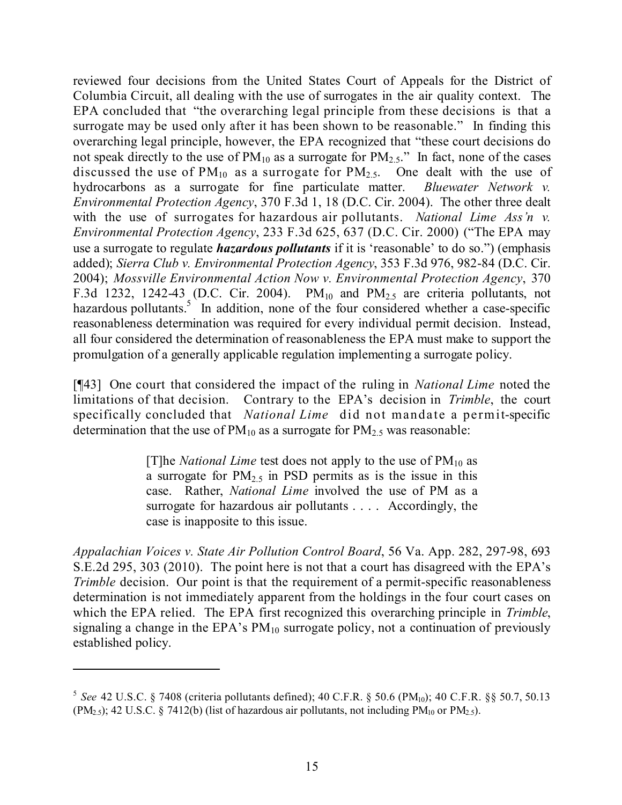reviewed four decisions from the United States Court of Appeals for the District of Columbia Circuit, all dealing with the use of surrogates in the air quality context. The EPA concluded that "the overarching legal principle from these decisions is that a surrogate may be used only after it has been shown to be reasonable." In finding this overarching legal principle, however, the EPA recognized that "these court decisions do not speak directly to the use of  $PM_{10}$  as a surrogate for  $PM_{2.5}$ ." In fact, none of the cases discussed the use of  $PM_{10}$  as a surrogate for  $PM_{2.5}$ . One dealt with the use of hydrocarbons as a surrogate for fine particulate matter. *Bluewater Network v. Environmental Protection Agency*, 370 F.3d 1, 18 (D.C. Cir. 2004). The other three dealt with the use of surrogates for hazardous air pollutants. *National Lime Ass'n v. Environmental Protection Agency*, 233 F.3d 625, 637 (D.C. Cir. 2000) ("The EPA may use a surrogate to regulate *hazardous pollutants* if it is 'reasonable' to do so.") (emphasis added); *Sierra Club v. Environmental Protection Agency*, 353 F.3d 976, 982-84 (D.C. Cir. 2004); *Mossville Environmental Action Now v. Environmental Protection Agency*, 370 F.3d 1232, 1242-43 (D.C. Cir. 2004).  $PM_{10}$  and  $PM_{2.5}$  are criteria pollutants, not hazardous pollutants.<sup>5</sup> In addition, none of the four considered whether a case-specific reasonableness determination was required for every individual permit decision. Instead, all four considered the determination of reasonableness the EPA must make to support the promulgation of a generally applicable regulation implementing a surrogate policy.

[¶43] One court that considered the impact of the ruling in *National Lime* noted the limitations of that decision. Contrary to the EPA's decision in *Trimble*, the court specifically concluded that *National Lime* did not mandate a permit-specific determination that the use of  $PM_{10}$  as a surrogate for  $PM_{2.5}$  was reasonable:

> [T]he *National Lime* test does not apply to the use of  $PM_{10}$  as a surrogate for  $PM<sub>2.5</sub>$  in PSD permits as is the issue in this case. Rather, *National Lime* involved the use of PM as a surrogate for hazardous air pollutants . . . . Accordingly, the case is inapposite to this issue.

*Appalachian Voices v. State Air Pollution Control Board*, 56 Va. App. 282, 297-98, 693 S.E.2d 295, 303 (2010). The point here is not that a court has disagreed with the EPA's *Trimble* decision. Our point is that the requirement of a permit-specific reasonableness determination is not immediately apparent from the holdings in the four court cases on which the EPA relied. The EPA first recognized this overarching principle in *Trimble*, signaling a change in the EPA's  $PM_{10}$  surrogate policy, not a continuation of previously established policy.

<sup>&</sup>lt;sup>5</sup> See 42 U.S.C. § 7408 (criteria pollutants defined); 40 C.F.R. § 50.6 (PM<sub>10</sub>); 40 C.F.R. §§ 50.7, 50.13  $(PM<sub>2.5</sub>)$ ; 42 U.S.C. § 7412(b) (list of hazardous air pollutants, not including PM<sub>10</sub> or PM<sub>2.5</sub>).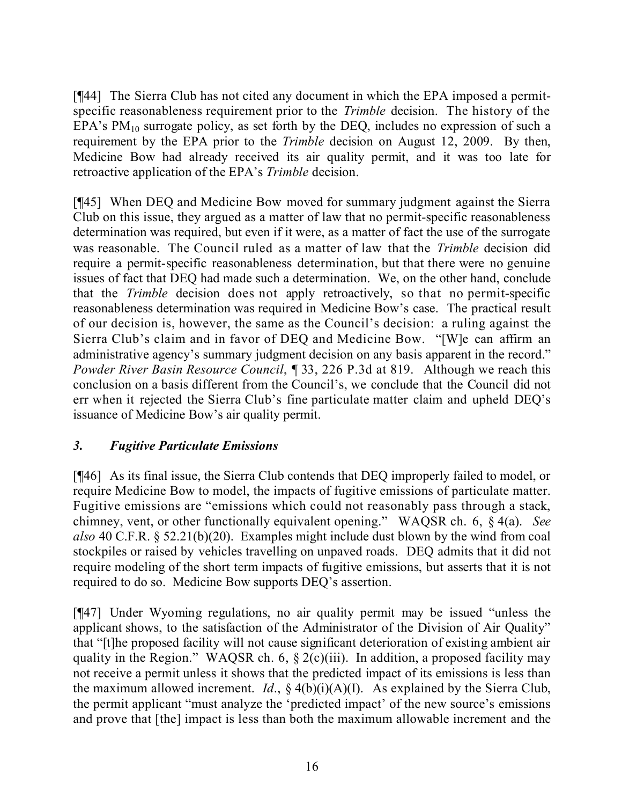[¶44] The Sierra Club has not cited any document in which the EPA imposed a permitspecific reasonableness requirement prior to the *Trimble* decision. The history of the EPA's  $PM_{10}$  surrogate policy, as set forth by the DEQ, includes no expression of such a requirement by the EPA prior to the *Trimble* decision on August 12, 2009. By then, Medicine Bow had already received its air quality permit, and it was too late for retroactive application of the EPA's *Trimble* decision.

[¶45] When DEQ and Medicine Bow moved for summary judgment against the Sierra Club on this issue, they argued as a matter of law that no permit-specific reasonableness determination was required, but even if it were, as a matter of fact the use of the surrogate was reasonable. The Council ruled as a matter of law that the *Trimble* decision did require a permit-specific reasonableness determination, but that there were no genuine issues of fact that DEQ had made such a determination. We, on the other hand, conclude that the *Trimble* decision does not apply retroactively, so that no permit-specific reasonableness determination was required in Medicine Bow's case. The practical result of our decision is, however, the same as the Council's decision: a ruling against the Sierra Club's claim and in favor of DEQ and Medicine Bow. "[W]e can affirm an administrative agency's summary judgment decision on any basis apparent in the record." *Powder River Basin Resource Council*, ¶ 33, 226 P.3d at 819. Although we reach this conclusion on a basis different from the Council's, we conclude that the Council did not err when it rejected the Sierra Club's fine particulate matter claim and upheld DEQ's issuance of Medicine Bow's air quality permit.

# *3. Fugitive Particulate Emissions*

[¶46] As its final issue, the Sierra Club contends that DEQ improperly failed to model, or require Medicine Bow to model, the impacts of fugitive emissions of particulate matter. Fugitive emissions are "emissions which could not reasonably pass through a stack, chimney, vent, or other functionally equivalent opening." WAQSR ch. 6, § 4(a). *See also* 40 C.F.R. § 52.21(b)(20). Examples might include dust blown by the wind from coal stockpiles or raised by vehicles travelling on unpaved roads. DEQ admits that it did not require modeling of the short term impacts of fugitive emissions, but asserts that it is not required to do so. Medicine Bow supports DEQ's assertion.

[¶47] Under Wyoming regulations, no air quality permit may be issued "unless the applicant shows, to the satisfaction of the Administrator of the Division of Air Quality" that "[t]he proposed facility will not cause significant deterioration of existing ambient air quality in the Region." WAQSR ch. 6,  $\S 2(c)(iii)$ . In addition, a proposed facility may not receive a permit unless it shows that the predicted impact of its emissions is less than the maximum allowed increment. *Id*., § 4(b)(i)(A)(I). As explained by the Sierra Club, the permit applicant "must analyze the 'predicted impact' of the new source's emissions and prove that [the] impact is less than both the maximum allowable increment and the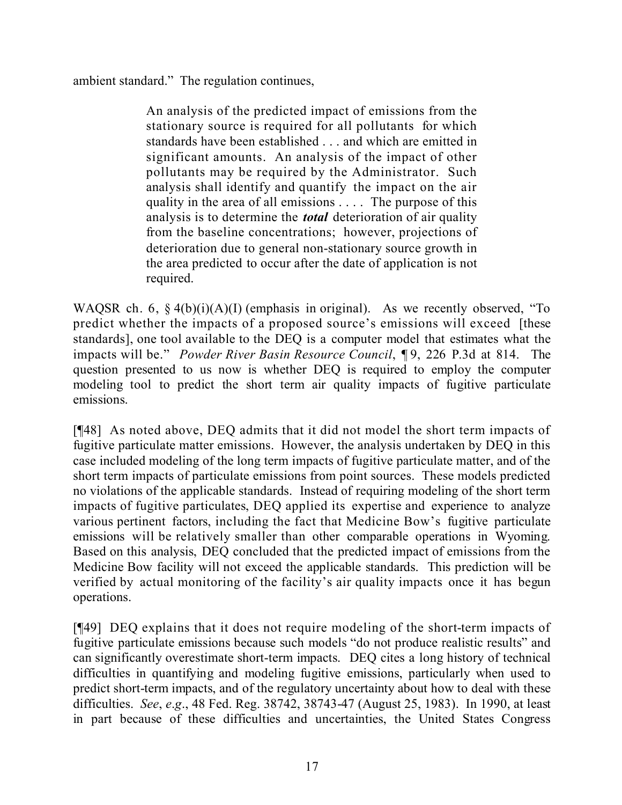## ambient standard." The regulation continues,

An analysis of the predicted impact of emissions from the stationary source is required for all pollutants for which standards have been established . . . and which are emitted in significant amounts. An analysis of the impact of other pollutants may be required by the Administrator. Such analysis shall identify and quantify the impact on the air quality in the area of all emissions . . . . The purpose of this analysis is to determine the *total* deterioration of air quality from the baseline concentrations; however, projections of deterioration due to general non-stationary source growth in the area predicted to occur after the date of application is not required.

WAQSR ch. 6,  $\S 4(b)(i)(A)(I)$  (emphasis in original). As we recently observed, "To predict whether the impacts of a proposed source's emissions will exceed [these standards], one tool available to the DEQ is a computer model that estimates what the impacts will be." *Powder River Basin Resource Council*, ¶ 9, 226 P.3d at 814. The question presented to us now is whether DEQ is required to employ the computer modeling tool to predict the short term air quality impacts of fugitive particulate emissions.

[¶48] As noted above, DEQ admits that it did not model the short term impacts of fugitive particulate matter emissions. However, the analysis undertaken by DEQ in this case included modeling of the long term impacts of fugitive particulate matter, and of the short term impacts of particulate emissions from point sources. These models predicted no violations of the applicable standards. Instead of requiring modeling of the short term impacts of fugitive particulates, DEQ applied its expertise and experience to analyze various pertinent factors, including the fact that Medicine Bow's fugitive particulate emissions will be relatively smaller than other comparable operations in Wyoming. Based on this analysis, DEQ concluded that the predicted impact of emissions from the Medicine Bow facility will not exceed the applicable standards. This prediction will be verified by actual monitoring of the facility's air quality impacts once it has begun operations.

[¶49] DEQ explains that it does not require modeling of the short-term impacts of fugitive particulate emissions because such models "do not produce realistic results" and can significantly overestimate short-term impacts. DEQ cites a long history of technical difficulties in quantifying and modeling fugitive emissions, particularly when used to predict short-term impacts, and of the regulatory uncertainty about how to deal with these difficulties. *See*, *e*.*g*., 48 Fed. Reg. 38742, 38743-47 (August 25, 1983). In 1990, at least in part because of these difficulties and uncertainties, the United States Congress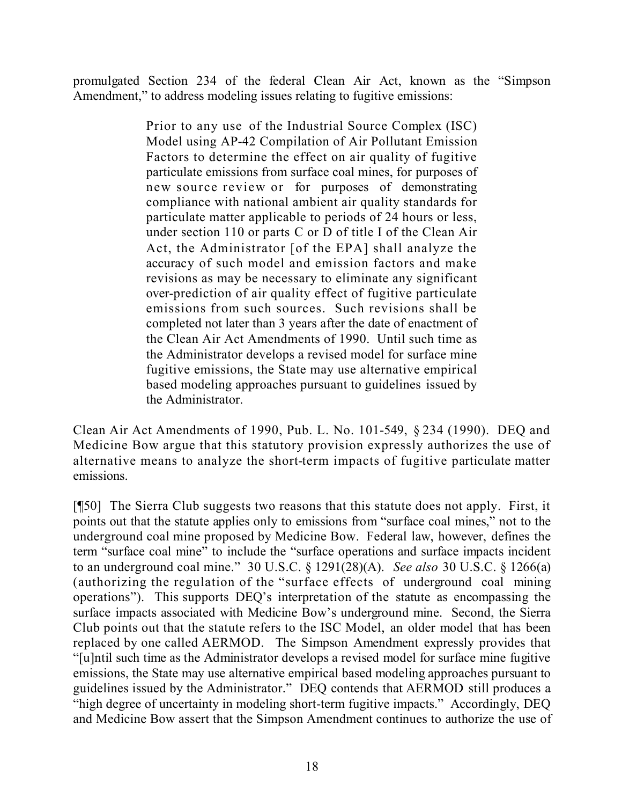promulgated Section 234 of the federal Clean Air Act, known as the "Simpson Amendment," to address modeling issues relating to fugitive emissions:

> Prior to any use of the Industrial Source Complex (ISC) Model using AP-42 Compilation of Air Pollutant Emission Factors to determine the effect on air quality of fugitive particulate emissions from surface coal mines, for purposes of new source review or for purposes of demonstrating compliance with national ambient air quality standards for particulate matter applicable to periods of 24 hours or less, under section 110 or parts C or D of title I of the Clean Air Act, the Administrator [of the EPA] shall analyze the accuracy of such model and emission factors and make revisions as may be necessary to eliminate any significant over-prediction of air quality effect of fugitive particulate emissions from such sources. Such revisions shall be completed not later than 3 years after the date of enactment of the Clean Air Act Amendments of 1990. Until such time as the Administrator develops a revised model for surface mine fugitive emissions, the State may use alternative empirical based modeling approaches pursuant to guidelines issued by the Administrator.

Clean Air Act Amendments of 1990, Pub. L. No. 101-549, § 234 (1990). DEQ and Medicine Bow argue that this statutory provision expressly authorizes the use of alternative means to analyze the short-term impacts of fugitive particulate matter emissions.

[¶50] The Sierra Club suggests two reasons that this statute does not apply. First, it points out that the statute applies only to emissions from "surface coal mines," not to the underground coal mine proposed by Medicine Bow. Federal law, however, defines the term "surface coal mine" to include the "surface operations and surface impacts incident to an underground coal mine." 30 U.S.C. § 1291(28)(A). *See also* 30 U.S.C. § 1266(a) (authorizing the regulation of the "surface effects of underground coal mining operations"). This supports DEQ's interpretation of the statute as encompassing the surface impacts associated with Medicine Bow's underground mine. Second, the Sierra Club points out that the statute refers to the ISC Model, an older model that has been replaced by one called AERMOD. The Simpson Amendment expressly provides that "[u]ntil such time as the Administrator develops a revised model for surface mine fugitive emissions, the State may use alternative empirical based modeling approaches pursuant to guidelines issued by the Administrator." DEQ contends that AERMOD still produces a "high degree of uncertainty in modeling short-term fugitive impacts." Accordingly, DEQ and Medicine Bow assert that the Simpson Amendment continues to authorize the use of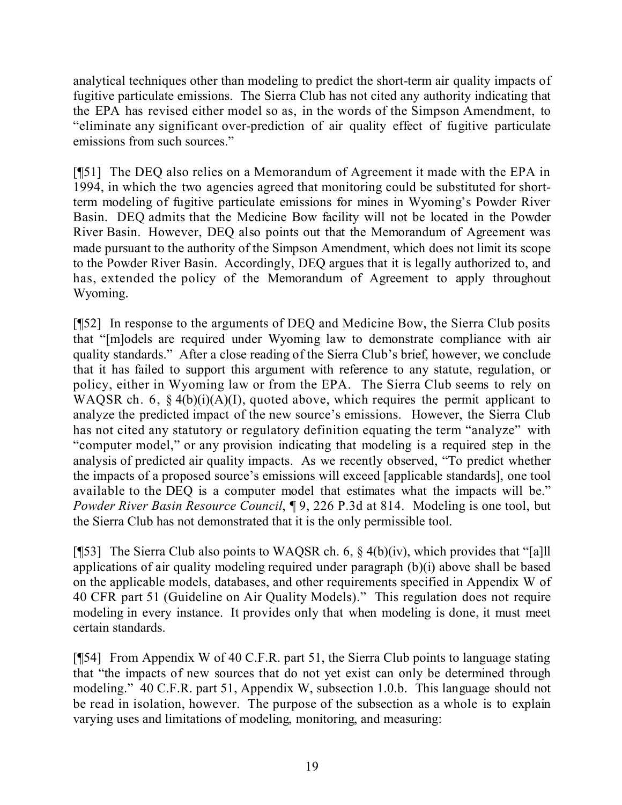analytical techniques other than modeling to predict the short-term air quality impacts of fugitive particulate emissions. The Sierra Club has not cited any authority indicating that the EPA has revised either model so as, in the words of the Simpson Amendment, to "eliminate any significant over-prediction of air quality effect of fugitive particulate emissions from such sources."

[¶51] The DEQ also relies on a Memorandum of Agreement it made with the EPA in 1994, in which the two agencies agreed that monitoring could be substituted for shortterm modeling of fugitive particulate emissions for mines in Wyoming's Powder River Basin. DEQ admits that the Medicine Bow facility will not be located in the Powder River Basin. However, DEQ also points out that the Memorandum of Agreement was made pursuant to the authority of the Simpson Amendment, which does not limit its scope to the Powder River Basin. Accordingly, DEQ argues that it is legally authorized to, and has, extended the policy of the Memorandum of Agreement to apply throughout Wyoming.

[¶52] In response to the arguments of DEQ and Medicine Bow, the Sierra Club posits that "[m]odels are required under Wyoming law to demonstrate compliance with air quality standards." After a close reading of the Sierra Club's brief, however, we conclude that it has failed to support this argument with reference to any statute, regulation, or policy, either in Wyoming law or from the EPA. The Sierra Club seems to rely on WAQSR ch. 6,  $\S 4(b)(i)(A)(I)$ , quoted above, which requires the permit applicant to analyze the predicted impact of the new source's emissions. However, the Sierra Club has not cited any statutory or regulatory definition equating the term "analyze" with "computer model," or any provision indicating that modeling is a required step in the analysis of predicted air quality impacts. As we recently observed, "To predict whether the impacts of a proposed source's emissions will exceed [applicable standards], one tool available to the DEQ is a computer model that estimates what the impacts will be." *Powder River Basin Resource Council*, ¶ 9, 226 P.3d at 814. Modeling is one tool, but the Sierra Club has not demonstrated that it is the only permissible tool.

[¶53] The Sierra Club also points to WAQSR ch. 6,  $\S$  4(b)(iv), which provides that "[a]ll applications of air quality modeling required under paragraph (b)(i) above shall be based on the applicable models, databases, and other requirements specified in Appendix W of 40 CFR part 51 (Guideline on Air Quality Models)." This regulation does not require modeling in every instance. It provides only that when modeling is done, it must meet certain standards.

[¶54] From Appendix W of 40 C.F.R. part 51, the Sierra Club points to language stating that "the impacts of new sources that do not yet exist can only be determined through modeling." 40 C.F.R. part 51, Appendix W, subsection 1.0.b. This language should not be read in isolation, however. The purpose of the subsection as a whole is to explain varying uses and limitations of modeling, monitoring, and measuring: